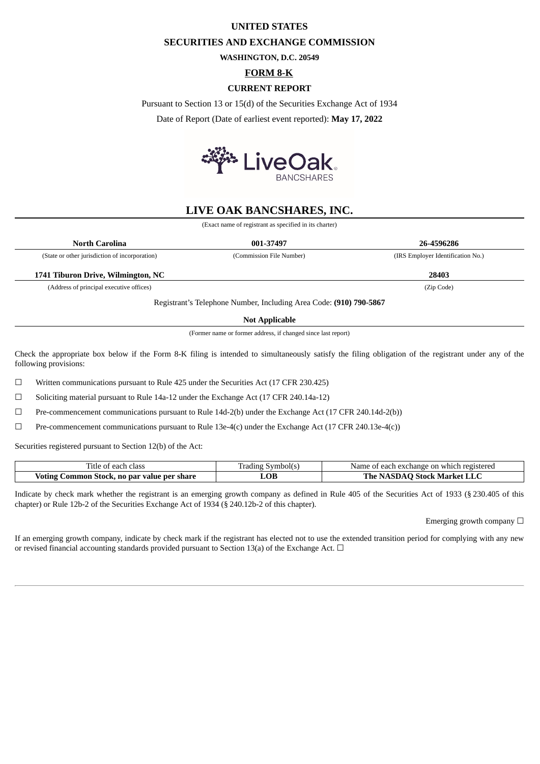## **UNITED STATES**

# **SECURITIES AND EXCHANGE COMMISSION**

**WASHINGTON, D.C. 20549**

**FORM 8-K**

## **CURRENT REPORT**

Pursuant to Section 13 or 15(d) of the Securities Exchange Act of 1934

Date of Report (Date of earliest event reported): **May 17, 2022**



# **LIVE OAK BANCSHARES, INC.**

(Exact name of registrant as specified in its charter)

| North Carolina                                 | 001-37497                | 26-4596286                        |
|------------------------------------------------|--------------------------|-----------------------------------|
| (State or other jurisdiction of incorporation) | (Commission File Number) | (IRS Employer Identification No.) |
|                                                |                          |                                   |
| 1741 Tiburon Drive, Wilmington, NC             |                          | 28403                             |

**Not Applicable**

(Former name or former address, if changed since last report)

Check the appropriate box below if the Form 8-K filing is intended to simultaneously satisfy the filing obligation of the registrant under any of the following provisions:

☐ Written communications pursuant to Rule 425 under the Securities Act (17 CFR 230.425)

 $\Box$  Soliciting material pursuant to Rule 14a-12 under the Exchange Act (17 CFR 240.14a-12)

☐ Pre-commencement communications pursuant to Rule 14d-2(b) under the Exchange Act (17 CFR 240.14d-2(b))

☐ Pre-commencement communications pursuant to Rule 13e-4(c) under the Exchange Act (17 CFR 240.13e-4(c))

Securities registered pursuant to Section 12(b) of the Act:

| --<br>$\sim$ $\sim$ $\sim$<br>each<br>l'itle<br>ΩT<br>CIdSS    | __ading<br>nnou<br>$\sim$ $\sim$ | rhange<br>' registerer.<br>each<br>which<br>- on<br>Name |
|----------------------------------------------------------------|----------------------------------|----------------------------------------------------------|
| ' value per share<br>Voting<br>.ommon<br>- par<br>n0<br>этоск. | LUL                              | Stock Ma<br>larket<br>ne<br>э.<br><b>LILA</b>            |

Indicate by check mark whether the registrant is an emerging growth company as defined in Rule 405 of the Securities Act of 1933 (§ 230.405 of this chapter) or Rule 12b-2 of the Securities Exchange Act of 1934 (§ 240.12b-2 of this chapter).

Emerging growth company  $\Box$ 

If an emerging growth company, indicate by check mark if the registrant has elected not to use the extended transition period for complying with any new or revised financial accounting standards provided pursuant to Section 13(a) of the Exchange Act.  $\Box$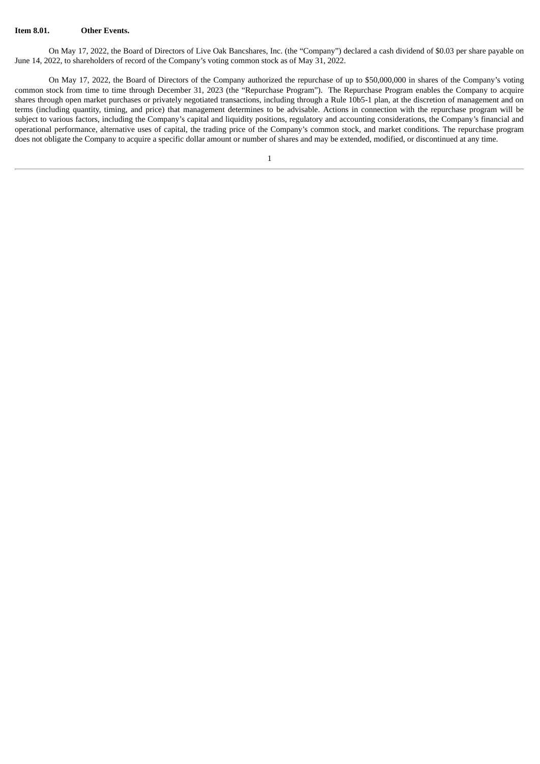#### **Item 8.01. Other Events.**

On May 17, 2022, the Board of Directors of Live Oak Bancshares, Inc. (the "Company") declared a cash dividend of \$0.03 per share payable on June 14, 2022, to shareholders of record of the Company's voting common stock as of May 31, 2022.

On May 17, 2022, the Board of Directors of the Company authorized the repurchase of up to \$50,000,000 in shares of the Company's voting common stock from time to time through December 31, 2023 (the "Repurchase Program"). The Repurchase Program enables the Company to acquire shares through open market purchases or privately negotiated transactions, including through a Rule 10b5-1 plan, at the discretion of management and on terms (including quantity, timing, and price) that management determines to be advisable. Actions in connection with the repurchase program will be subject to various factors, including the Company's capital and liquidity positions, regulatory and accounting considerations, the Company's financial and operational performance, alternative uses of capital, the trading price of the Company's common stock, and market conditions. The repurchase program does not obligate the Company to acquire a specific dollar amount or number of shares and may be extended, modified, or discontinued at any time.